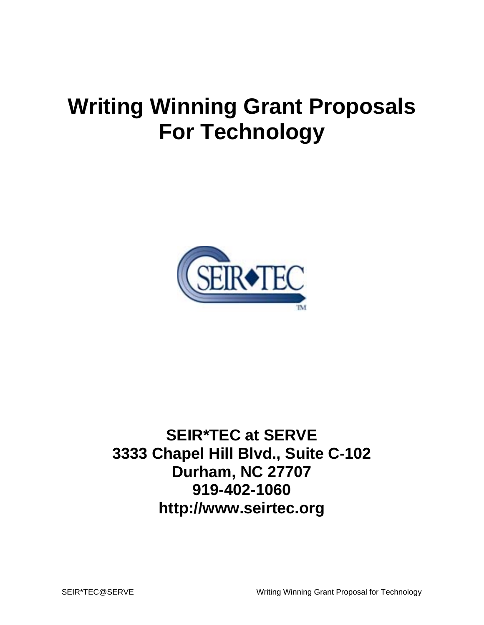# **Writing Winning Grant Proposals For Technology**



**SEIR\*TEC at SERVE 3333 Chapel Hill Blvd., Suite C-102 Durham, NC 27707 919-402-1060 http://www.seirtec.org**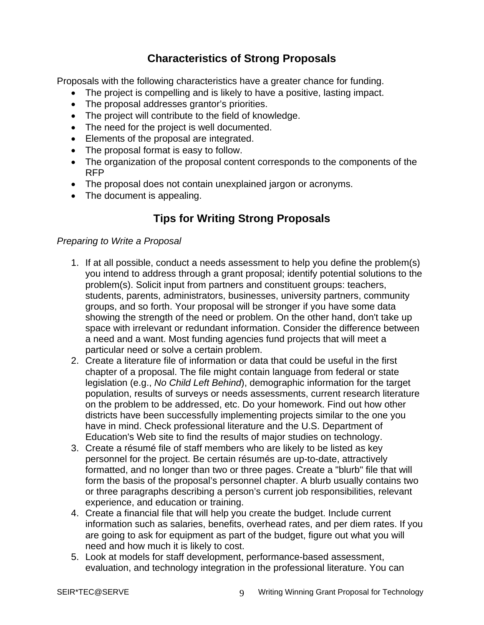## **Characteristics of Strong Proposals**

Proposals with the following characteristics have a greater chance for funding.

- The project is compelling and is likely to have a positive, lasting impact.
- The proposal addresses grantor's priorities.
- The project will contribute to the field of knowledge.
- The need for the project is well documented.
- Elements of the proposal are integrated.
- The proposal format is easy to follow.
- The organization of the proposal content corresponds to the components of the RFP
- The proposal does not contain unexplained jargon or acronyms.
- The document is appealing.

## **Tips for Writing Strong Proposals**

#### *Preparing to Write a Proposal*

- 1. If at all possible, conduct a needs assessment to help you define the problem(s) you intend to address through a grant proposal; identify potential solutions to the problem(s). Solicit input from partners and constituent groups: teachers, students, parents, administrators, businesses, university partners, community groups, and so forth. Your proposal will be stronger if you have some data showing the strength of the need or problem. On the other hand, don't take up space with irrelevant or redundant information. Consider the difference between a need and a want. Most funding agencies fund projects that will meet a particular need or solve a certain problem.
- 2. Create a literature file of information or data that could be useful in the first chapter of a proposal. The file might contain language from federal or state legislation (e.g., *No Child Left Behind*), demographic information for the target population, results of surveys or needs assessments, current research literature on the problem to be addressed, etc. Do your homework. Find out how other districts have been successfully implementing projects similar to the one you have in mind. Check professional literature and the U.S. Department of Education's Web site to find the results of major studies on technology.
- 3. Create a résumé file of staff members who are likely to be listed as key personnel for the project. Be certain résumés are up-to-date, attractively formatted, and no longer than two or three pages. Create a "blurb" file that will form the basis of the proposal's personnel chapter. A blurb usually contains two or three paragraphs describing a person's current job responsibilities, relevant experience, and education or training.
- 4. Create a financial file that will help you create the budget. Include current information such as salaries, benefits, overhead rates, and per diem rates. If you are going to ask for equipment as part of the budget, figure out what you will need and how much it is likely to cost.
- 5. Look at models for staff development, performance-based assessment, evaluation, and technology integration in the professional literature. You can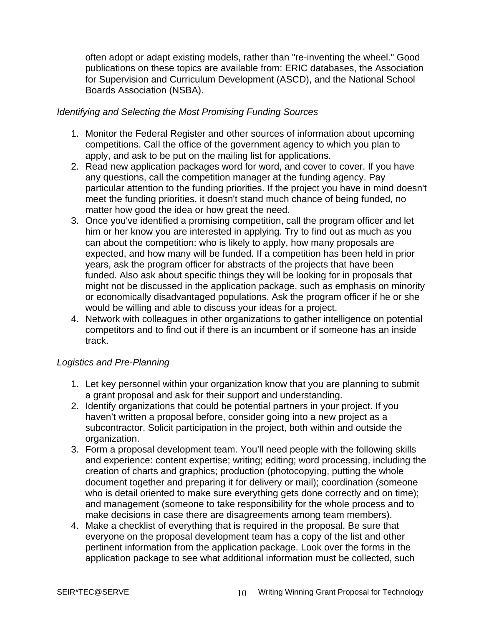often adopt or adapt existing models, rather than "re-inventing the wheel." Good publications on these topics are available from: ERIC databases, the Association for Supervision and Curriculum Development (ASCD), and the National School Boards Association (NSBA).

#### *Identifying and Selecting the Most Promising Funding Sources*

- 1. Monitor the Federal Register and other sources of information about upcoming competitions. Call the office of the government agency to which you plan to apply, and ask to be put on the mailing list for applications.
- 2. Read new application packages word for word, and cover to cover. If you have any questions, call the competition manager at the funding agency. Pay particular attention to the funding priorities. If the project you have in mind doesn't meet the funding priorities, it doesn't stand much chance of being funded, no matter how good the idea or how great the need.
- 3. Once you've identified a promising competition, call the program officer and let him or her know you are interested in applying. Try to find out as much as you can about the competition: who is likely to apply, how many proposals are expected, and how many will be funded. If a competition has been held in prior years, ask the program officer for abstracts of the projects that have been funded. Also ask about specific things they will be looking for in proposals that might not be discussed in the application package, such as emphasis on minority or economically disadvantaged populations. Ask the program officer if he or she would be willing and able to discuss your ideas for a project.
- 4. Network with colleagues in other organizations to gather intelligence on potential competitors and to find out if there is an incumbent or if someone has an inside track.

#### *Logistics and Pre-Planning*

- 1. Let key personnel within your organization know that you are planning to submit a grant proposal and ask for their support and understanding.
- 2. Identify organizations that could be potential partners in your project. If you haven't written a proposal before, consider going into a new project as a subcontractor. Solicit participation in the project, both within and outside the organization.
- 3. Form a proposal development team. You'll need people with the following skills and experience: content expertise; writing; editing; word processing, including the creation of charts and graphics; production (photocopying, putting the whole document together and preparing it for delivery or mail); coordination (someone who is detail oriented to make sure everything gets done correctly and on time); and management (someone to take responsibility for the whole process and to make decisions in case there are disagreements among team members).
- 4. Make a checklist of everything that is required in the proposal. Be sure that everyone on the proposal development team has a copy of the list and other pertinent information from the application package. Look over the forms in the application package to see what additional information must be collected, such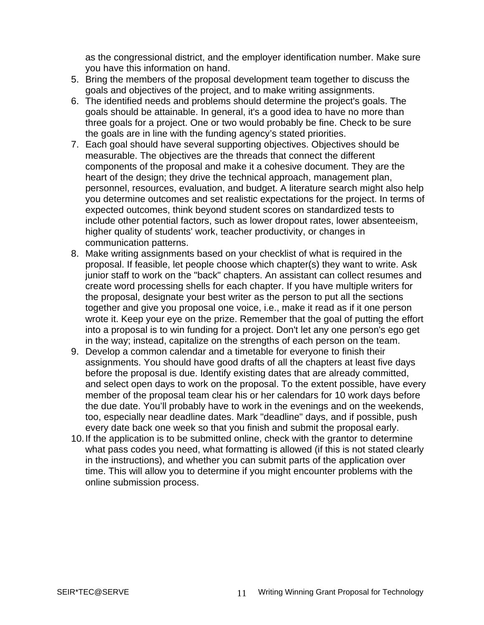as the congressional district, and the employer identification number. Make sure you have this information on hand.

- 5. Bring the members of the proposal development team together to discuss the goals and objectives of the project, and to make writing assignments.
- 6. The identified needs and problems should determine the project's goals. The goals should be attainable. In general, it's a good idea to have no more than three goals for a project. One or two would probably be fine. Check to be sure the goals are in line with the funding agency's stated priorities.
- 7. Each goal should have several supporting objectives. Objectives should be measurable. The objectives are the threads that connect the different components of the proposal and make it a cohesive document. They are the heart of the design; they drive the technical approach, management plan, personnel, resources, evaluation, and budget. A literature search might also help you determine outcomes and set realistic expectations for the project. In terms of expected outcomes, think beyond student scores on standardized tests to include other potential factors, such as lower dropout rates, lower absenteeism, higher quality of students' work, teacher productivity, or changes in communication patterns.
- 8. Make writing assignments based on your checklist of what is required in the proposal. If feasible, let people choose which chapter(s) they want to write. Ask junior staff to work on the "back" chapters. An assistant can collect resumes and create word processing shells for each chapter. If you have multiple writers for the proposal, designate your best writer as the person to put all the sections together and give you proposal one voice, i.e., make it read as if it one person wrote it. Keep your eye on the prize. Remember that the goal of putting the effort into a proposal is to win funding for a project. Don't let any one person's ego get in the way; instead, capitalize on the strengths of each person on the team.
- 9. Develop a common calendar and a timetable for everyone to finish their assignments. You should have good drafts of all the chapters at least five days before the proposal is due. Identify existing dates that are already committed, and select open days to work on the proposal. To the extent possible, have every member of the proposal team clear his or her calendars for 10 work days before the due date. You'll probably have to work in the evenings and on the weekends, too, especially near deadline dates. Mark "deadline" days, and if possible, push every date back one week so that you finish and submit the proposal early.
- 10. If the application is to be submitted online, check with the grantor to determine what pass codes you need, what formatting is allowed (if this is not stated clearly in the instructions), and whether you can submit parts of the application over time. This will allow you to determine if you might encounter problems with the online submission process.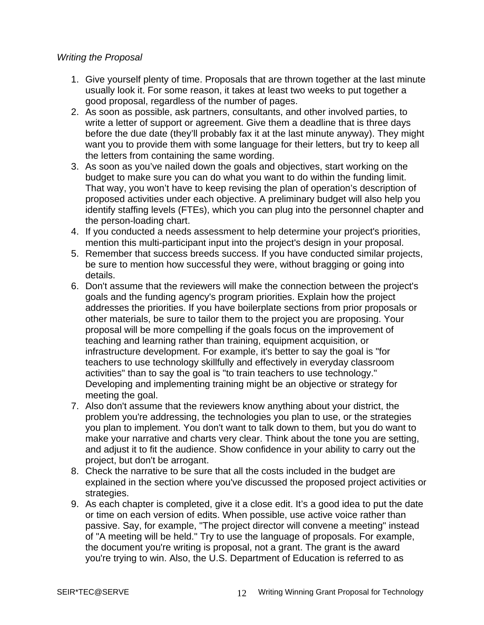#### *Writing the Proposal*

- 1. Give yourself plenty of time. Proposals that are thrown together at the last minute usually look it. For some reason, it takes at least two weeks to put together a good proposal, regardless of the number of pages.
- 2. As soon as possible, ask partners, consultants, and other involved parties, to write a letter of support or agreement. Give them a deadline that is three days before the due date (they'll probably fax it at the last minute anyway). They might want you to provide them with some language for their letters, but try to keep all the letters from containing the same wording.
- 3. As soon as you've nailed down the goals and objectives, start working on the budget to make sure you can do what you want to do within the funding limit. That way, you won't have to keep revising the plan of operation's description of proposed activities under each objective. A preliminary budget will also help you identify staffing levels (FTEs), which you can plug into the personnel chapter and the person-loading chart.
- 4. If you conducted a needs assessment to help determine your project's priorities, mention this multi-participant input into the project's design in your proposal.
- 5. Remember that success breeds success. If you have conducted similar projects, be sure to mention how successful they were, without bragging or going into details.
- 6. Don't assume that the reviewers will make the connection between the project's goals and the funding agency's program priorities. Explain how the project addresses the priorities. If you have boilerplate sections from prior proposals or other materials, be sure to tailor them to the project you are proposing. Your proposal will be more compelling if the goals focus on the improvement of teaching and learning rather than training, equipment acquisition, or infrastructure development. For example, it's better to say the goal is "for teachers to use technology skillfully and effectively in everyday classroom activities" than to say the goal is "to train teachers to use technology." Developing and implementing training might be an objective or strategy for meeting the goal.
- 7. Also don't assume that the reviewers know anything about your district, the problem you're addressing, the technologies you plan to use, or the strategies you plan to implement. You don't want to talk down to them, but you do want to make your narrative and charts very clear. Think about the tone you are setting, and adjust it to fit the audience. Show confidence in your ability to carry out the project, but don't be arrogant.
- 8. Check the narrative to be sure that all the costs included in the budget are explained in the section where you've discussed the proposed project activities or strategies.
- 9. As each chapter is completed, give it a close edit. It's a good idea to put the date or time on each version of edits. When possible, use active voice rather than passive. Say, for example, "The project director will convene a meeting" instead of "A meeting will be held." Try to use the language of proposals. For example, the document you're writing is proposal, not a grant. The grant is the award you're trying to win. Also, the U.S. Department of Education is referred to as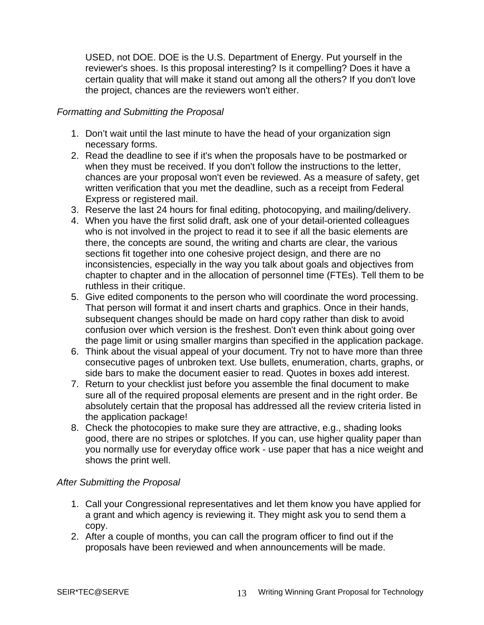USED, not DOE. DOE is the U.S. Department of Energy. Put yourself in the reviewer's shoes. Is this proposal interesting? Is it compelling? Does it have a certain quality that will make it stand out among all the others? If you don't love the project, chances are the reviewers won't either.

#### *Formatting and Submitting the Proposal*

- 1. Don't wait until the last minute to have the head of your organization sign necessary forms.
- 2. Read the deadline to see if it's when the proposals have to be postmarked or when they must be received. If you don't follow the instructions to the letter, chances are your proposal won't even be reviewed. As a measure of safety, get written verification that you met the deadline, such as a receipt from Federal Express or registered mail.
- 3. Reserve the last 24 hours for final editing, photocopying, and mailing/delivery.
- 4. When you have the first solid draft, ask one of your detail-oriented colleagues who is not involved in the project to read it to see if all the basic elements are there, the concepts are sound, the writing and charts are clear, the various sections fit together into one cohesive project design, and there are no inconsistencies, especially in the way you talk about goals and objectives from chapter to chapter and in the allocation of personnel time (FTEs). Tell them to be ruthless in their critique.
- 5. Give edited components to the person who will coordinate the word processing. That person will format it and insert charts and graphics. Once in their hands, subsequent changes should be made on hard copy rather than disk to avoid confusion over which version is the freshest. Don't even think about going over the page limit or using smaller margins than specified in the application package.
- 6. Think about the visual appeal of your document. Try not to have more than three consecutive pages of unbroken text. Use bullets, enumeration, charts, graphs, or side bars to make the document easier to read. Quotes in boxes add interest.
- 7. Return to your checklist just before you assemble the final document to make sure all of the required proposal elements are present and in the right order. Be absolutely certain that the proposal has addressed all the review criteria listed in the application package!
- 8. Check the photocopies to make sure they are attractive, e.g., shading looks good, there are no stripes or splotches. If you can, use higher quality paper than you normally use for everyday office work - use paper that has a nice weight and shows the print well.

#### *After Submitting the Proposal*

- 1. Call your Congressional representatives and let them know you have applied for a grant and which agency is reviewing it. They might ask you to send them a copy.
- 2. After a couple of months, you can call the program officer to find out if the proposals have been reviewed and when announcements will be made.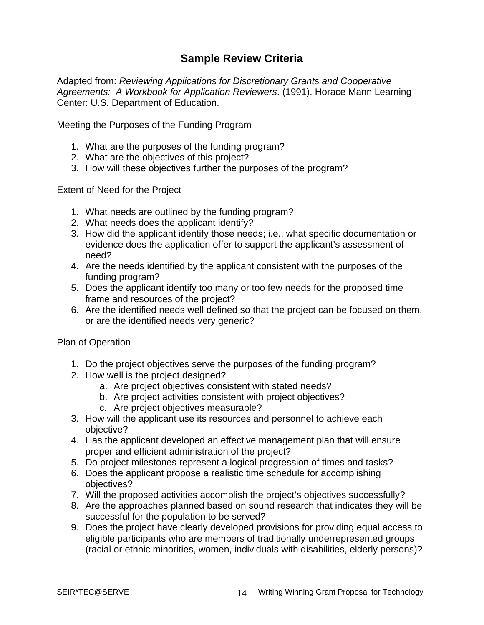## **Sample Review Criteria**

Adapted from: *Reviewing Applications for Discretionary Grants and Cooperative Agreements: A Workbook for Application Reviewers*. (1991). Horace Mann Learning Center: U.S. Department of Education.

Meeting the Purposes of the Funding Program

- 1. What are the purposes of the funding program?
- 2. What are the objectives of this project?
- 3. How will these objectives further the purposes of the program?

Extent of Need for the Project

- 1. What needs are outlined by the funding program?
- 2. What needs does the applicant identify?
- 3. How did the applicant identify those needs; i.e., what specific documentation or evidence does the application offer to support the applicant's assessment of need?
- 4. Are the needs identified by the applicant consistent with the purposes of the funding program?
- 5. Does the applicant identify too many or too few needs for the proposed time frame and resources of the project?
- 6. Are the identified needs well defined so that the project can be focused on them, or are the identified needs very generic?

Plan of Operation

- 1. Do the project objectives serve the purposes of the funding program?
- 2. How well is the project designed?
	- a. Are project objectives consistent with stated needs?
	- b. Are project activities consistent with project objectives?
	- c. Are project objectives measurable?
- 3. How will the applicant use its resources and personnel to achieve each objective?
- 4. Has the applicant developed an effective management plan that will ensure proper and efficient administration of the project?
- 5. Do project milestones represent a logical progression of times and tasks?
- 6. Does the applicant propose a realistic time schedule for accomplishing objectives?
- 7. Will the proposed activities accomplish the project's objectives successfully?
- 8. Are the approaches planned based on sound research that indicates they will be successful for the population to be served?
- 9. Does the project have clearly developed provisions for providing equal access to eligible participants who are members of traditionally underrepresented groups (racial or ethnic minorities, women, individuals with disabilities, elderly persons)?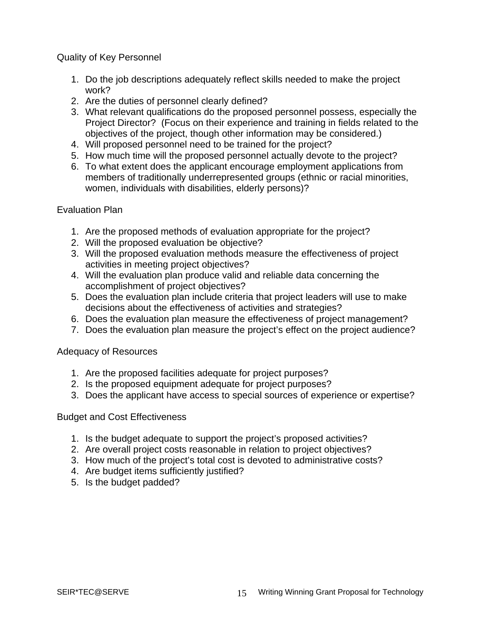Quality of Key Personnel

- 1. Do the job descriptions adequately reflect skills needed to make the project work?
- 2. Are the duties of personnel clearly defined?
- 3. What relevant qualifications do the proposed personnel possess, especially the Project Director? (Focus on their experience and training in fields related to the objectives of the project, though other information may be considered.)
- 4. Will proposed personnel need to be trained for the project?
- 5. How much time will the proposed personnel actually devote to the project?
- 6. To what extent does the applicant encourage employment applications from members of traditionally underrepresented groups (ethnic or racial minorities, women, individuals with disabilities, elderly persons)?

#### Evaluation Plan

- 1. Are the proposed methods of evaluation appropriate for the project?
- 2. Will the proposed evaluation be objective?
- 3. Will the proposed evaluation methods measure the effectiveness of project activities in meeting project objectives?
- 4. Will the evaluation plan produce valid and reliable data concerning the accomplishment of project objectives?
- 5. Does the evaluation plan include criteria that project leaders will use to make decisions about the effectiveness of activities and strategies?
- 6. Does the evaluation plan measure the effectiveness of project management?
- 7. Does the evaluation plan measure the project's effect on the project audience?

### Adequacy of Resources

- 1. Are the proposed facilities adequate for project purposes?
- 2. Is the proposed equipment adequate for project purposes?
- 3. Does the applicant have access to special sources of experience or expertise?

Budget and Cost Effectiveness

- 1. Is the budget adequate to support the project's proposed activities?
- 2. Are overall project costs reasonable in relation to project objectives?
- 3. How much of the project's total cost is devoted to administrative costs?
- 4. Are budget items sufficiently justified?
- 5. Is the budget padded?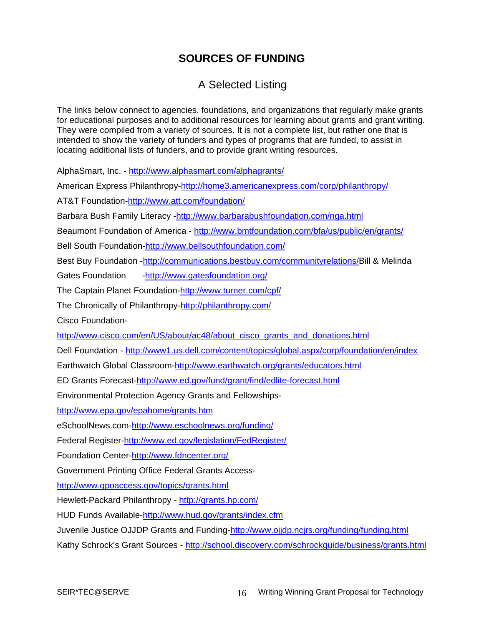## **SOURCES OF FUNDING**

## A Selected Listing

The links below connect to agencies, foundations, and organizations that regularly make grants for educational purposes and to additional resources for learning about grants and grant writing. They were compiled from a variety of sources. It is not a complete list, but rather one that is intended to show the variety of funders and types of programs that are funded, to assist in locating additional lists of funders, and to provide grant writing resources.

AlphaSmart, Inc. -<http://www.alphasmart.com/alphagrants/>

American Express Philanthropy[-http://home3.americanexpress.com/corp/philanthropy/](http://home3.americanexpress.com/corp/philanthropy/)

AT&T Foundation-<http://www.att.com/foundation/>

Barbara Bush Family Literacy -<http://www.barbarabushfoundation.com/nga.html>

Beaumont Foundation of America - <http://www.bmtfoundation.com/bfa/us/public/en/grants/>

Bell South Foundation-<http://www.bellsouthfoundation.com/>

Best Buy Foundation -<http://communications.bestbuy.com/communityrelations/>Bill & Melinda

Gates Foundation - <http://www.gatesfoundation.org/>

The Captain Planet Foundation-<http://www.turner.com/cpf/>

The Chronically of Philanthropy-<http://philanthropy.com/>

Cisco Foundation-

[http://www.cisco.com/en/US/about/ac48/about\\_cisco\\_grants\\_and\\_donations.html](http://www.cisco.com/en/US/about/ac48/about_cisco_grants_and_donations.html)

Dell Foundation - <http://www1.us.dell.com/content/topics/global.aspx/corp/foundation/en/index>

Earthwatch Global Classroom[-http://www.earthwatch.org/grants/educators.html](http://www.earthwatch.org/grants/educators.html)

ED Grants Forecast-<http://www.ed.gov/fund/grant/find/edlite-forecast.html>

Environmental Protection Agency Grants and Fellowships-

<http://www.epa.gov/epahome/grants.htm>

eSchoolNews.com-<http://www.eschoolnews.org/funding/>

Federal Register[-http://www.ed.gov/legislation/FedRegister/](http://www.ed.gov/legislation/FedRegister/) 

Foundation Center-<http://www.fdncenter.org/>

Government Printing Office Federal Grants Access-

<http://www.gpoaccess.gov/topics/grants.html>

Hewlett-Packard Philanthropy - <http://grants.hp.com/>

HUD Funds Available-<http://www.hud.gov/grants/index.cfm>

Juvenile Justice OJJDP Grants and Funding-<http://www.ojjdp.ncjrs.org/funding/funding.html>

Kathy Schrock's Grant Sources - <http://school.discovery.com/schrockguide/business/grants.html>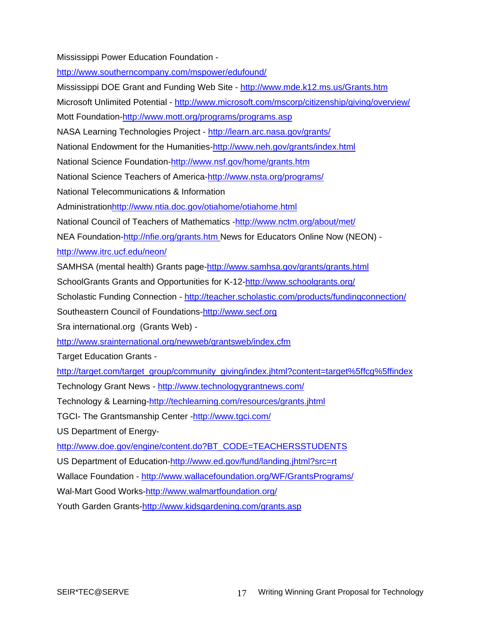Mississippi Power Education Foundation -

<http://www.southerncompany.com/mspower/edufound/>

Mississippi DOE Grant and Funding Web Site -<http://www.mde.k12.ms.us/Grants.htm> Microsoft Unlimited Potential -<http://www.microsoft.com/mscorp/citizenship/giving/overview/> Mott Foundation[-http://www.mott.org/programs/programs.asp](http://www.mott.org/programs/programs.asp)  NASA Learning Technologies Project -<http://learn.arc.nasa.gov/grants/> National Endowment for the Humanities[-http://www.neh.gov/grants/index.html](http://www.neh.gov/grants/index.html) [National Science Foundation-http://www.nsf.gov/home/grants.htm](http://www.nsf.gov/home/grants.htm) National Science Teachers of America-<http://www.nsta.org/programs/> National Telecommunications & Information Administration[http://www.ntia.doc.gov/otiahome/otiahome.html](http://www.ntia.doc.gov/) National Council of Teachers of Mathematics -<http://www.nctm.org/about/met/> NEA Foundation[-http://nfie.org/grants.htm](http://nfie.org/grants.htm) News for Educators Online Now (NEON) <http://www.itrc.ucf.edu/neon/> SAMHSA (mental health) Grants page[-http://www.samhsa.gov/grants/grants.html](http://www.samhsa.gov/grants/grants.html) SchoolGrants Grants and Opportunities for K-12[-http://www.schoolgrants.org/](http://www.schoolgrants.org/) Scholastic Funding Connection - <http://teacher.scholastic.com/products/fundingconnection/> Southeastern Council of Foundations-[http://www.secf.org](http://www.secf.org/) Sra international.org (Grants Web) <http://www.srainternational.org/newweb/grantsweb/index.cfm> Target Education Grants [http://target.com/target\\_group/community\\_giving/index.jhtml?content=target%5ffcg%5ffindex](http://www.walmartfoundation.org/) Technology Grant News - <http://www.technologygrantnews.com/> Technology & Learning-[http://techlearning.com/resources/grants.jhtml](http://www.techlearning.com/grants.html) TGCI- The Grantsmanship Center [-http://www.tgci.com/](http://www.tgci.com/) US Department of Energy[http://www.doe.gov/engine/content.do?BT\\_CODE=TEACHERSSTUDENTS](http://www.doe.gov/engine/content.do?BT_CODE=TEACHERSSTUDENTS) US Department of Education-<http://www.ed.gov/fund/landing.jhtml?src=rt> Wallace Foundation -<http://www.wallacefoundation.org/WF/GrantsPrograms/> Wal-Mart Good Works[-http://www.walmartfoundation.org/](http://www.walmartfoundation.org/) Youth Garden Grants[-http://www.kidsgardening.com/grants.asp](http://www.kidsgardening.com/grants.asp)